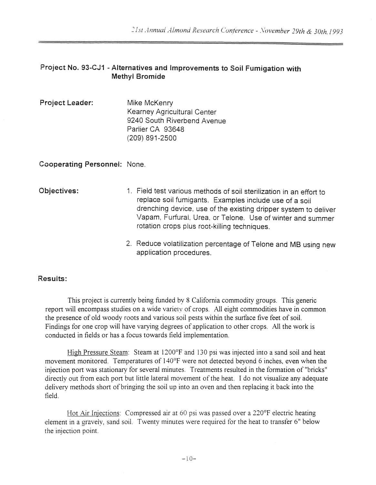## **Project No. 93-CJ1 - Alternatives and Improvements to Soil Fumigation with Methyl Bromide**

Project Leader: Mike McKenry Kearney Agricultural Center 9240 South Riverbend Avenue Parlier CA 93648 (209) 891-2500

**Cooperating Personnel:** None.

- **Objectives:**  1. Field test various methods of soil sterilization in an effort to replace soil fumigants. Examples include use of a soil drenching device, use of the existing dripper system to deliver Vapam, Furfural. Urea, or Telone. Use of winter and summer rotation crops plus root-killing techniques.
	- 2. Reduce volatilization percentage of Telone and MB using new application procedures.

## **Results:**

This project is currently being funded by 8 California commodity groups. This generic report will encompass studies on a wide variety of crops. All eight commodities have in common the presence of old woody roots and various soil pests within the surface five feet of soil. Findings for one crop will have varying degrees of application to other crops. All the work is conducted in fields or has a focus towards field implementation.

High Pressure Steam: Steam at 1200°F and 130 psi was injected into a sand soil and heat movement monitored. Temperatures of 140°F were not detected beyond 6 inches, even when the injection port was stationary for several minutes. Treatments resulted in the formation of "bricks" directly out from each port but little lateral movement of the heat. I do not visualize any adequate delivery methods short of bringing the soil up into an oven and then replacing it back into the tield.

Hot Air Injections: Compressed air at 60 psi was passed over a 220°F electric heating element in a gravely, sand soil. Twenty minutes were required for the heat to transfer 6" below the injection point.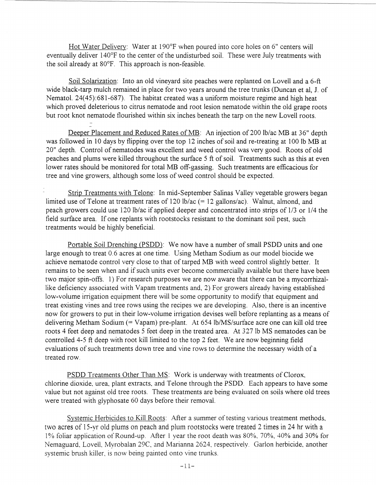Hot Water Delivery: Water at 190°F when poured into core holes on 6" centers will eventually deliver 140°F to the center of the undisturbed soil. These were July treatments with the soil already at 80°F. This approach is non-feasible.

Soil Solarization: Into an old vineyard site peaches were replanted on Lovell and a 6-ft wide black-tarp mulch remained in place for two years around the tree trunks (Duncan et ai, 1. of Nematol. 24(45):681-687). The habitat created was a uniform moisture regime and high heat which proved deleterious to citrus nematode and root lesion nematode within the old grape roots but root knot nematode flourished within six inches beneath the tarp on the new Lovell roots.

Deeper Placement and Reduced Rates of MB: An injection of 200 lb/ac MB at 36" depth was followed in 10 days by flipping over the top 12 inches of soil and re-treating at 100 lb MB at 20" depth. Control of nematodes was excellent and weed control was very good. Roots of old peaches and plums were killed throughout the surface 5 ft of soil. Treatments such as this at even lower rates should be monitored for total MB off-gassing. Such treatments are efficacious for tree and vine growers, although some loss of weed control should be expected.

Strip Treatments with Telone: In mid-September Salinas Valley vegetable growers began limited use of Telone at treatment rates of 120 lb/ac (= 12 gallons/ac). Walnut, almond, and peach growers cQUld use 120 Ib/ac if applied deeper and concentrated into strips of 1/3 or 1/4 the field surface area. If one replants with rootstocks resistant to the dominant soil pest, such treatments would be highly beneficial.

Portable Soil Drenching (PSDD): We now have a number of small PSDD units and one large enough to treat 0.6 acres at one time. Using Metham Sodium as our model biocide we achieve nematode control very close to that of tarped MB with weed control slightly better. It remains to be seen when and if such units ever become commercially available but there have been two major spin-offs. 1) For research purposes we are now aware that there can be a mycorrhizallike deficiency associated with Vapam treatments and, 2) For growers already having established low-volume irrigation equipment there will be some opportunity to modify that equipment and treat existing vines and tree rows using the recipes we are developing. Also, there is an incentive now for growers to put in their low-volume irrigation devises well before replanting as a means of delivering Metham Sodium (= Vapam) pre-plant. At 654 lb/MS/surface acre one can kill old tree roots 4 feet deep and nematodes 5 feet deep in the treated area. At 327lb MS nematodes can be controlled 4-5 ft deep with root kill limited to the top 2 feet. We are now beginning field evaluations of such treatments down tree and vine rows to determine the necessary width of a treated row.

PSDD Treatments Other Than MS: Work is underway with treatments of Clorox, chlorine dioxide, urea, plant extracts, and Telone through the PSDD. Each appears to have some value but not against old tree roots. These treatments are being evaluated on soils where old trees were treated with glyphosate 60 days before their removal.

Systemic Herbicides to Kill Roots: After a summer of testing various treatment methods, two acres of 15-yr old plums on peach and plum rootstocks were treated 2 times in 24 hr with a 1% foliar application of Round-up. After I year the root death was 80%,70%,40% and 30% for Nemaguard, Lovell, Myrobalan 29C, and Marianna 2624, respectively. Garlon herbicide, another systemic brush killer, is now being painted onto vine trunks.